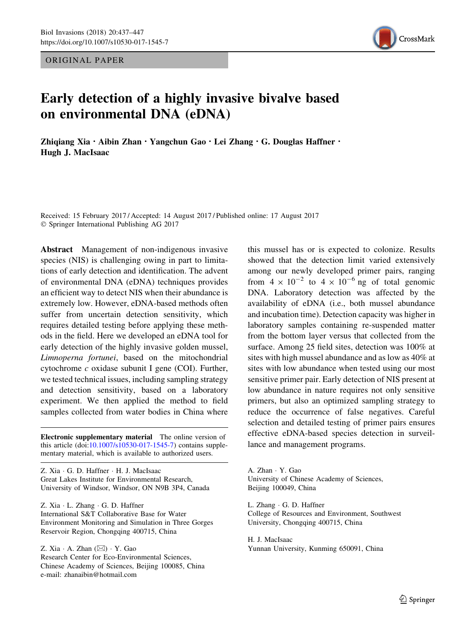ORIGINAL PAPER



# Early detection of a highly invasive bivalve based on environmental DNA (eDNA)

Zhiqiang Xia · Aibin Zhan · Yangchun Gao · Lei Zhang · G. Douglas Haffner · Hugh J. MacIsaac

Received: 15 February 2017 / Accepted: 14 August 2017 / Published online: 17 August 2017 © Springer International Publishing AG 2017

Abstract Management of non-indigenous invasive species (NIS) is challenging owing in part to limitations of early detection and identification. The advent of environmental DNA (eDNA) techniques provides an efficient way to detect NIS when their abundance is extremely low. However, eDNA-based methods often suffer from uncertain detection sensitivity, which requires detailed testing before applying these methods in the field. Here we developed an eDNA tool for early detection of the highly invasive golden mussel, Limnoperna fortunei, based on the mitochondrial cytochrome c oxidase subunit I gene (COI). Further, we tested technical issues, including sampling strategy and detection sensitivity, based on a laboratory experiment. We then applied the method to field samples collected from water bodies in China where

Electronic supplementary material The online version of this article (doi[:10.1007/s10530-017-1545-7\)](http://dx.doi.org/10.1007/s10530-017-1545-7) contains supplementary material, which is available to authorized users.

Z. Xia - G. D. Haffner - H. J. MacIsaac Great Lakes Institute for Environmental Research, University of Windsor, Windsor, ON N9B 3P4, Canada

Z. Xia - L. Zhang - G. D. Haffner International S&T Collaborative Base for Water Environment Monitoring and Simulation in Three Gorges Reservoir Region, Chongqing 400715, China

Z. Xia · A. Zhan (⊠) · Y. Gao Research Center for Eco-Environmental Sciences, Chinese Academy of Sciences, Beijing 100085, China e-mail: zhanaibin@hotmail.com

this mussel has or is expected to colonize. Results showed that the detection limit varied extensively among our newly developed primer pairs, ranging from  $4 \times 10^{-2}$  to  $4 \times 10^{-6}$  ng of total genomic DNA. Laboratory detection was affected by the availability of eDNA (i.e., both mussel abundance and incubation time). Detection capacity was higher in laboratory samples containing re-suspended matter from the bottom layer versus that collected from the surface. Among 25 field sites, detection was 100% at sites with high mussel abundance and as low as 40% at sites with low abundance when tested using our most sensitive primer pair. Early detection of NIS present at low abundance in nature requires not only sensitive primers, but also an optimized sampling strategy to reduce the occurrence of false negatives. Careful selection and detailed testing of primer pairs ensures effective eDNA-based species detection in surveillance and management programs.

A. Zhan - Y. Gao University of Chinese Academy of Sciences, Beijing 100049, China

L. Zhang - G. D. Haffner College of Resources and Environment, Southwest University, Chongqing 400715, China

H. J. MacIsaac Yunnan University, Kunming 650091, China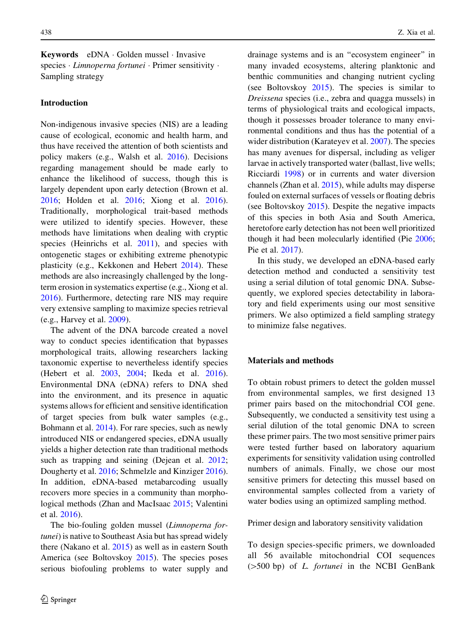Keywords eDNA · Golden mussel · Invasive species · *Limnoperna fortunei* · Primer sensitivity · Sampling strategy

### Introduction

Non-indigenous invasive species (NIS) are a leading cause of ecological, economic and health harm, and thus have received the attention of both scientists and policy makers (e.g., Walsh et al. [2016](#page-9-0)). Decisions regarding management should be made early to enhance the likelihood of success, though this is largely dependent upon early detection (Brown et al. [2016;](#page-8-0) Holden et al. [2016;](#page-9-0) Xiong et al. [2016](#page-10-0)). Traditionally, morphological trait-based methods were utilized to identify species. However, these methods have limitations when dealing with cryptic species (Heinrichs et al. [2011\)](#page-9-0), and species with ontogenetic stages or exhibiting extreme phenotypic plasticity (e.g., Kekkonen and Hebert [2014](#page-9-0)). These methods are also increasingly challenged by the longterm erosion in systematics expertise (e.g., Xiong et al. [2016\)](#page-10-0). Furthermore, detecting rare NIS may require very extensive sampling to maximize species retrieval (e.g., Harvey et al. [2009\)](#page-9-0).

The advent of the DNA barcode created a novel way to conduct species identification that bypasses morphological traits, allowing researchers lacking taxonomic expertise to nevertheless identify species (Hebert et al. [2003,](#page-9-0) [2004;](#page-9-0) Ikeda et al. [2016](#page-9-0)). Environmental DNA (eDNA) refers to DNA shed into the environment, and its presence in aquatic systems allows for efficient and sensitive identification of target species from bulk water samples (e.g., Bohmann et al. [2014\)](#page-8-0). For rare species, such as newly introduced NIS or endangered species, eDNA usually yields a higher detection rate than traditional methods such as trapping and seining (Dejean et al. [2012](#page-9-0); Dougherty et al. [2016](#page-9-0); Schmelzle and Kinziger [2016](#page-9-0)). In addition, eDNA-based metabarcoding usually recovers more species in a community than morphological methods (Zhan and MacIsaac [2015](#page-10-0); Valentini et al. [2016](#page-9-0)).

The bio-fouling golden mussel (Limnoperna fortunei) is native to Southeast Asia but has spread widely there (Nakano et al. [2015](#page-9-0)) as well as in eastern South America (see Boltovskoy [2015\)](#page-8-0). The species poses serious biofouling problems to water supply and drainage systems and is an ''ecosystem engineer'' in many invaded ecosystems, altering planktonic and benthic communities and changing nutrient cycling (see Boltovskoy [2015\)](#page-8-0). The species is similar to Dreissena species (i.e., zebra and quagga mussels) in terms of physiological traits and ecological impacts, though it possesses broader tolerance to many environmental conditions and thus has the potential of a wider distribution (Karateyev et al. [2007\)](#page-9-0). The species has many avenues for dispersal, including as veliger larvae in actively transported water (ballast, live wells; Ricciardi [1998](#page-9-0)) or in currents and water diversion channels (Zhan et al. [2015\)](#page-10-0), while adults may disperse fouled on external surfaces of vessels or floating debris (see Boltovskoy [2015](#page-8-0)). Despite the negative impacts of this species in both Asia and South America, heretofore early detection has not been well prioritized though it had been molecularly identified (Pie [2006](#page-9-0); Pie et al. [2017](#page-9-0)).

In this study, we developed an eDNA-based early detection method and conducted a sensitivity test using a serial dilution of total genomic DNA. Subsequently, we explored species detectability in laboratory and field experiments using our most sensitive primers. We also optimized a field sampling strategy to minimize false negatives.

#### Materials and methods

To obtain robust primers to detect the golden mussel from environmental samples, we first designed 13 primer pairs based on the mitochondrial COI gene. Subsequently, we conducted a sensitivity test using a serial dilution of the total genomic DNA to screen these primer pairs. The two most sensitive primer pairs were tested further based on laboratory aquarium experiments for sensitivity validation using controlled numbers of animals. Finally, we chose our most sensitive primers for detecting this mussel based on environmental samples collected from a variety of water bodies using an optimized sampling method.

Primer design and laboratory sensitivity validation

To design species-specific primers, we downloaded all 56 available mitochondrial COI sequences  $($ >500 bp) of *L. fortunei* in the NCBI GenBank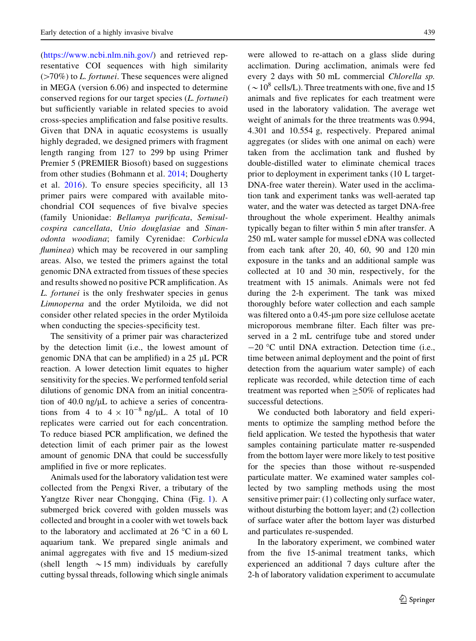[\(https://www.ncbi.nlm.nih.gov/\)](https://www.ncbi.nlm.nih.gov/) and retrieved representative COI sequences with high similarity  $(>=70\%)$  to L. fortunei. These sequences were aligned in MEGA (version 6.06) and inspected to determine conserved regions for our target species (L. fortunei) but sufficiently variable in related species to avoid cross-species amplification and false positive results. Given that DNA in aquatic ecosystems is usually highly degraded, we designed primers with fragment length ranging from 127 to 299 bp using Primer Premier 5 (PREMIER Biosoft) based on suggestions from other studies (Bohmann et al. [2014](#page-8-0); Dougherty et al. [2016](#page-9-0)). To ensure species specificity, all 13 primer pairs were compared with available mitochondrial COI sequences of five bivalve species (family Unionidae: Bellamya purificata, Semisulcospira cancellata, Unio douglasiae and Sinanodonta woodiana; family Cyrenidae: Corbicula fluminea) which may be recovered in our sampling areas. Also, we tested the primers against the total genomic DNA extracted from tissues of these species and results showed no positive PCR amplification. As L. fortunei is the only freshwater species in genus Limnoperna and the order Mytiloida, we did not consider other related species in the order Mytiloida when conducting the species-specificity test.

The sensitivity of a primer pair was characterized by the detection limit (i.e., the lowest amount of genomic DNA that can be amplified) in a  $25 \mu L$  PCR reaction. A lower detection limit equates to higher sensitivity for the species. We performed tenfold serial dilutions of genomic DNA from an initial concentration of  $40.0$  ng/ $\mu$ L to achieve a series of concentrations from 4 to  $4 \times 10^{-8}$  ng/µL. A total of 10 replicates were carried out for each concentration. To reduce biased PCR amplification, we defined the detection limit of each primer pair as the lowest amount of genomic DNA that could be successfully amplified in five or more replicates.

Animals used for the laboratory validation test were collected from the Pengxi River, a tributary of the Yangtze River near Chongqing, China (Fig. [1](#page-4-0)). A submerged brick covered with golden mussels was collected and brought in a cooler with wet towels back to the laboratory and acclimated at 26  $^{\circ}$ C in a 60 L aquarium tank. We prepared single animals and animal aggregates with five and 15 medium-sized (shell length  $\sim$  15 mm) individuals by carefully cutting byssal threads, following which single animals were allowed to re-attach on a glass slide during acclimation. During acclimation, animals were fed every 2 days with 50 mL commercial Chlorella sp.  $({\sim}10^8 \text{ cells/L})$ . Three treatments with one, five and 15 animals and five replicates for each treatment were used in the laboratory validation. The average wet weight of animals for the three treatments was 0.994, 4.301 and 10.554 g, respectively. Prepared animal aggregates (or slides with one animal on each) were taken from the acclimation tank and flushed by double-distilled water to eliminate chemical traces prior to deployment in experiment tanks (10 L target-DNA-free water therein). Water used in the acclimation tank and experiment tanks was well-aerated tap water, and the water was detected as target DNA-free throughout the whole experiment. Healthy animals typically began to filter within 5 min after transfer. A 250 mL water sample for mussel eDNA was collected from each tank after 20, 40, 60, 90 and 120 min exposure in the tanks and an additional sample was collected at 10 and 30 min, respectively, for the treatment with 15 animals. Animals were not fed during the 2-h experiment. The tank was mixed thoroughly before water collection and each sample was filtered onto a  $0.45$ - $\mu$ m pore size cellulose acetate microporous membrane filter. Each filter was preserved in a 2 mL centrifuge tube and stored under  $-20$  °C until DNA extraction. Detection time (i.e., time between animal deployment and the point of first detection from the aquarium water sample) of each replicate was recorded, while detection time of each treatment was reported when  $\geq$ 50% of replicates had successful detections.

We conducted both laboratory and field experiments to optimize the sampling method before the field application. We tested the hypothesis that water samples containing particulate matter re-suspended from the bottom layer were more likely to test positive for the species than those without re-suspended particulate matter. We examined water samples collected by two sampling methods using the most sensitive primer pair: (1) collecting only surface water, without disturbing the bottom layer; and (2) collection of surface water after the bottom layer was disturbed and particulates re-suspended.

In the laboratory experiment, we combined water from the five 15-animal treatment tanks, which experienced an additional 7 days culture after the 2-h of laboratory validation experiment to accumulate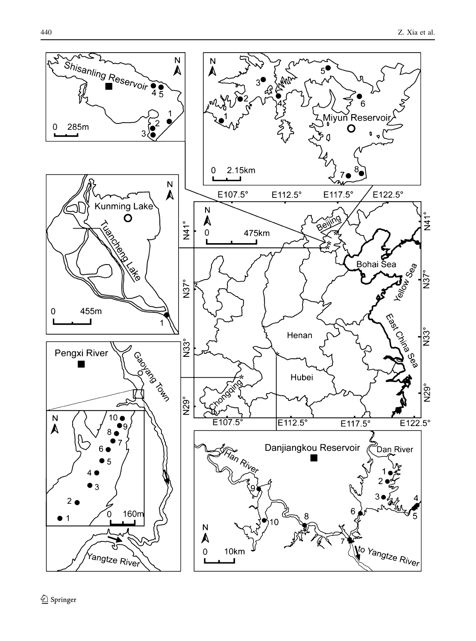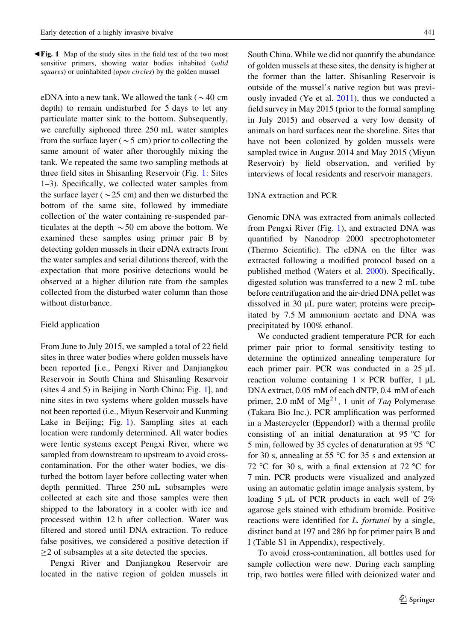<span id="page-4-0"></span>b Fig. 1 Map of the study sites in the field test of the two most sensitive primers, showing water bodies inhabited (solid squares) or uninhabited (open circles) by the golden mussel

eDNA into a new tank. We allowed the tank ( $\sim$ 40 cm depth) to remain undisturbed for 5 days to let any particulate matter sink to the bottom. Subsequently, we carefully siphoned three 250 mL water samples from the surface layer ( $\sim$  5 cm) prior to collecting the same amount of water after thoroughly mixing the tank. We repeated the same two sampling methods at three field sites in Shisanling Reservoir (Fig. 1: Sites 1–3). Specifically, we collected water samples from the surface layer ( $\sim$  25 cm) and then we disturbed the bottom of the same site, followed by immediate collection of the water containing re-suspended particulates at the depth  $\sim$  50 cm above the bottom. We examined these samples using primer pair B by detecting golden mussels in their eDNA extracts from the water samples and serial dilutions thereof, with the expectation that more positive detections would be observed at a higher dilution rate from the samples collected from the disturbed water column than those without disturbance.

#### Field application

From June to July 2015, we sampled a total of 22 field sites in three water bodies where golden mussels have been reported [i.e., Pengxi River and Danjiangkou Reservoir in South China and Shisanling Reservoir (sites 4 and 5) in Beijing in North China; Fig. 1], and nine sites in two systems where golden mussels have not been reported (i.e., Miyun Reservoir and Kunming Lake in Beijing; Fig. 1). Sampling sites at each location were randomly determined. All water bodies were lentic systems except Pengxi River, where we sampled from downstream to upstream to avoid crosscontamination. For the other water bodies, we disturbed the bottom layer before collecting water when depth permitted. Three 250 mL subsamples were collected at each site and those samples were then shipped to the laboratory in a cooler with ice and processed within 12 h after collection. Water was filtered and stored until DNA extraction. To reduce false positives, we considered a positive detection if  $\geq$  2 of subsamples at a site detected the species.

Pengxi River and Danjiangkou Reservoir are located in the native region of golden mussels in South China. While we did not quantify the abundance of golden mussels at these sites, the density is higher at the former than the latter. Shisanling Reservoir is outside of the mussel's native region but was previously invaded (Ye et al. [2011](#page-10-0)), thus we conducted a field survey in May 2015 (prior to the formal sampling in July 2015) and observed a very low density of animals on hard surfaces near the shoreline. Sites that have not been colonized by golden mussels were sampled twice in August 2014 and May 2015 (Miyun Reservoir) by field observation, and verified by interviews of local residents and reservoir managers.

## DNA extraction and PCR

Genomic DNA was extracted from animals collected from Pengxi River (Fig. 1), and extracted DNA was quantified by Nanodrop 2000 spectrophotometer (Thermo Scientific). The eDNA on the filter was extracted following a modified protocol based on a published method (Waters et al. [2000](#page-10-0)). Specifically, digested solution was transferred to a new 2 mL tube before centrifugation and the air-dried DNA pellet was dissolved in 30  $\mu$ L pure water; proteins were precipitated by 7.5 M ammonium acetate and DNA was precipitated by 100% ethanol.

We conducted gradient temperature PCR for each primer pair prior to formal sensitivity testing to determine the optimized annealing temperature for each primer pair. PCR was conducted in a  $25 \mu L$ reaction volume containing  $1 \times PCR$  buffer, 1 uL DNA extract, 0.05 mM of each dNTP, 0.4 mM of each primer, 2.0 mM of  $Mg^{2+}$ , 1 unit of Taq Polymerase (Takara Bio Inc.). PCR amplification was performed in a Mastercycler (Eppendorf) with a thermal profile consisting of an initial denaturation at  $95^{\circ}$ C for 5 min, followed by 35 cycles of denaturation at 95  $^{\circ}$ C for 30 s, annealing at 55  $\degree$ C for 35 s and extension at 72 °C for 30 s, with a final extension at 72 °C for 7 min. PCR products were visualized and analyzed using an automatic gelatin image analysis system, by loading 5  $\mu$ L of PCR products in each well of 2% agarose gels stained with ethidium bromide. Positive reactions were identified for L. fortunei by a single, distinct band at 197 and 286 bp for primer pairs B and I (Table S1 in Appendix), respectively.

To avoid cross-contamination, all bottles used for sample collection were new. During each sampling trip, two bottles were filled with deionized water and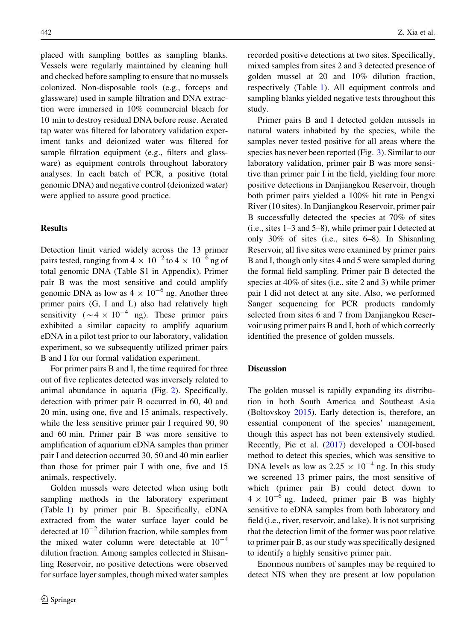placed with sampling bottles as sampling blanks. Vessels were regularly maintained by cleaning hull and checked before sampling to ensure that no mussels colonized. Non-disposable tools (e.g., forceps and glassware) used in sample filtration and DNA extraction were immersed in 10% commercial bleach for 10 min to destroy residual DNA before reuse. Aerated tap water was filtered for laboratory validation experiment tanks and deionized water was filtered for sample filtration equipment (e.g., filters and glassware) as equipment controls throughout laboratory analyses. In each batch of PCR, a positive (total genomic DNA) and negative control (deionized water) were applied to assure good practice.

# Results

Detection limit varied widely across the 13 primer pairs tested, ranging from  $4 \times 10^{-2}$  to  $4 \times 10^{-6}$  ng of total genomic DNA (Table S1 in Appendix). Primer pair B was the most sensitive and could amplify genomic DNA as low as  $4 \times 10^{-6}$  ng. Another three primer pairs (G, I and L) also had relatively high sensitivity ( $\sim 4 \times 10^{-4}$  ng). These primer pairs exhibited a similar capacity to amplify aquarium eDNA in a pilot test prior to our laboratory, validation experiment, so we subsequently utilized primer pairs B and I for our formal validation experiment.

For primer pairs B and I, the time required for three out of five replicates detected was inversely related to animal abundance in aquaria (Fig. [2\)](#page-6-0). Specifically, detection with primer pair B occurred in 60, 40 and 20 min, using one, five and 15 animals, respectively, while the less sensitive primer pair I required 90, 90 and 60 min. Primer pair B was more sensitive to amplification of aquarium eDNA samples than primer pair I and detection occurred 30, 50 and 40 min earlier than those for primer pair I with one, five and 15 animals, respectively.

Golden mussels were detected when using both sampling methods in the laboratory experiment (Table [1](#page-6-0)) by primer pair B. Specifically, eDNA extracted from the water surface layer could be detected at  $10^{-2}$  dilution fraction, while samples from the mixed water column were detectable at  $10^{-4}$ dilution fraction. Among samples collected in Shisanling Reservoir, no positive detections were observed for surface layer samples, though mixed water samples recorded positive detections at two sites. Specifically, mixed samples from sites 2 and 3 detected presence of golden mussel at 20 and 10% dilution fraction, respectively (Table [1\)](#page-6-0). All equipment controls and sampling blanks yielded negative tests throughout this study.

Primer pairs B and I detected golden mussels in natural waters inhabited by the species, while the samples never tested positive for all areas where the species has never been reported (Fig. [3](#page-7-0)). Similar to our laboratory validation, primer pair B was more sensitive than primer pair I in the field, yielding four more positive detections in Danjiangkou Reservoir, though both primer pairs yielded a 100% hit rate in Pengxi River (10 sites). In Danjiangkou Reservoir, primer pair B successfully detected the species at 70% of sites (i.e., sites 1–3 and 5–8), while primer pair I detected at only 30% of sites (i.e., sites 6–8). In Shisanling Reservoir, all five sites were examined by primer pairs B and I, though only sites 4 and 5 were sampled during the formal field sampling. Primer pair B detected the species at 40% of sites (i.e., site 2 and 3) while primer pair I did not detect at any site. Also, we performed Sanger sequencing for PCR products randomly selected from sites 6 and 7 from Danjiangkou Reservoir using primer pairs B and I, both of which correctly identified the presence of golden mussels.

### **Discussion**

The golden mussel is rapidly expanding its distribution in both South America and Southeast Asia (Boltovskoy [2015](#page-8-0)). Early detection is, therefore, an essential component of the species' management, though this aspect has not been extensively studied. Recently, Pie et al. [\(2017](#page-9-0)) developed a COI-based method to detect this species, which was sensitive to DNA levels as low as  $2.25 \times 10^{-4}$  ng. In this study we screened 13 primer pairs, the most sensitive of which (primer pair B) could detect down to  $4 \times 10^{-6}$  ng. Indeed, primer pair B was highly sensitive to eDNA samples from both laboratory and field (i.e., river, reservoir, and lake). It is not surprising that the detection limit of the former was poor relative to primer pair B, as our study was specifically designed to identify a highly sensitive primer pair.

Enormous numbers of samples may be required to detect NIS when they are present at low population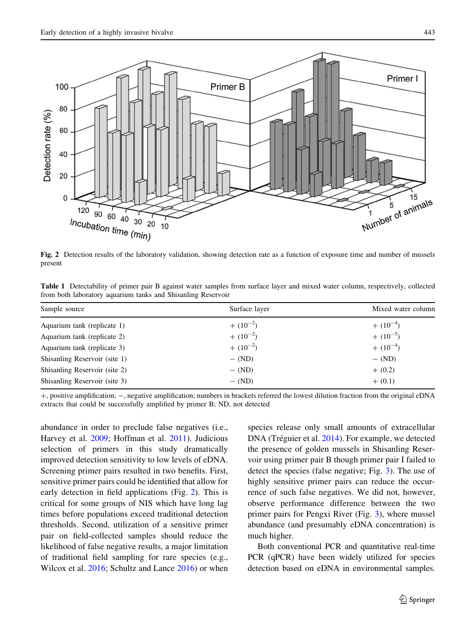<span id="page-6-0"></span>

Fig. 2 Detection results of the laboratory validation, showing detection rate as a function of exposure time and number of mussels present

Table 1 Detectability of primer pair B against water samples from surface layer and mixed water column, respectively, collected from both laboratory aquarium tanks and Shisanling Reservoir

| Sample source                 | Surface layer           | Mixed water column      |
|-------------------------------|-------------------------|-------------------------|
| Aquarium tank (replicate 1)   | $+$ (10 <sup>-2</sup> ) | $+$ (10 <sup>-4</sup> ) |
| Aquarium tank (replicate 2)   | $+$ (10 <sup>-2</sup> ) | $+$ (10 <sup>-5</sup> ) |
| Aquarium tank (replicate 3)   | $+$ (10 <sup>-2</sup> ) | $+$ (10 <sup>-4</sup> ) |
| Shisanling Reservoir (site 1) | $-$ (ND)                | $-$ (ND)                |
| Shisanling Reservoir (site 2) | $-$ (ND)                | $+$ (0.2)               |
| Shisanling Reservoir (site 3) | $-$ (ND)                | $+$ (0.1)               |
|                               |                         |                         |

?, positive amplification; -, negative amplification; numbers in brackets referred the lowest dilution fraction from the original eDNA extracts that could be successfully amplified by primer B; ND, not detected

abundance in order to preclude false negatives (i.e., Harvey et al. [2009](#page-9-0); Hoffman et al. [2011\)](#page-9-0). Judicious selection of primers in this study dramatically improved detection sensitivity to low levels of eDNA. Screening primer pairs resulted in two benefits. First, sensitive primer pairs could be identified that allow for early detection in field applications (Fig. 2). This is critical for some groups of NIS which have long lag times before populations exceed traditional detection thresholds. Second, utilization of a sensitive primer pair on field-collected samples should reduce the likelihood of false negative results, a major limitation of traditional field sampling for rare species (e.g., Wilcox et al. [2016](#page-10-0); Schultz and Lance [2016\)](#page-9-0) or when species release only small amounts of extracellular DNA (Tréguier et al. [2014](#page-9-0)). For example, we detected the presence of golden mussels in Shisanling Reservoir using primer pair B though primer pair I failed to detect the species (false negative; Fig. [3](#page-7-0)). The use of highly sensitive primer pairs can reduce the occurrence of such false negatives. We did not, however, observe performance difference between the two primer pairs for Pengxi River (Fig. [3\)](#page-7-0), where mussel abundance (and presumably eDNA concentration) is much higher.

Both conventional PCR and quantitative real-time PCR (qPCR) have been widely utilized for species detection based on eDNA in environmental samples.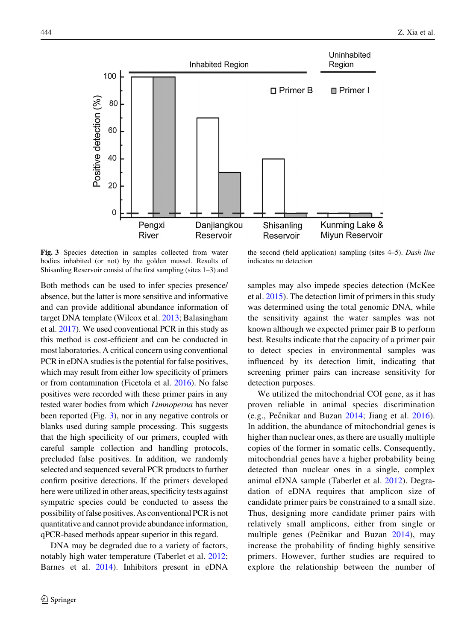<span id="page-7-0"></span>

Fig. 3 Species detection in samples collected from water bodies inhabited (or not) by the golden mussel. Results of Shisanling Reservoir consist of the first sampling (sites 1–3) and

Both methods can be used to infer species presence/ absence, but the latter is more sensitive and informative and can provide additional abundance information of target DNA template (Wilcox et al. [2013;](#page-10-0) Balasingham et al. [2017](#page-8-0)). We used conventional PCR in this study as this method is cost-efficient and can be conducted in most laboratories. A critical concern using conventional PCR in eDNA studies is the potential for false positives, which may result from either low specificity of primers or from contamination (Ficetola et al. [2016\)](#page-9-0). No false positives were recorded with these primer pairs in any tested water bodies from which Limnoperna has never been reported (Fig. 3), nor in any negative controls or blanks used during sample processing. This suggests that the high specificity of our primers, coupled with careful sample collection and handling protocols, precluded false positives. In addition, we randomly selected and sequenced several PCR products to further confirm positive detections. If the primers developed here were utilized in other areas, specificity tests against sympatric species could be conducted to assess the possibility of false positives. As conventional PCR is not quantitative and cannot provide abundance information, qPCR-based methods appear superior in this regard.

DNA may be degraded due to a variety of factors, notably high water temperature (Taberlet et al. [2012](#page-9-0); Barnes et al. [2014](#page-8-0)). Inhibitors present in eDNA

the second (field application) sampling (sites 4–5). Dash line indicates no detection

samples may also impede species detection (McKee et al. [2015\)](#page-9-0). The detection limit of primers in this study was determined using the total genomic DNA, while the sensitivity against the water samples was not known although we expected primer pair B to perform best. Results indicate that the capacity of a primer pair to detect species in environmental samples was influenced by its detection limit, indicating that screening primer pairs can increase sensitivity for detection purposes.

We utilized the mitochondrial COI gene, as it has proven reliable in animal species discrimination (e.g., Pečnikar and Buzan  $2014$ ; Jiang et al.  $2016$ ). In addition, the abundance of mitochondrial genes is higher than nuclear ones, as there are usually multiple copies of the former in somatic cells. Consequently, mitochondrial genes have a higher probability being detected than nuclear ones in a single, complex animal eDNA sample (Taberlet et al. [2012\)](#page-9-0). Degradation of eDNA requires that amplicon size of candidate primer pairs be constrained to a small size. Thus, designing more candidate primer pairs with relatively small amplicons, either from single or multiple genes (Pečnikar and Buzan [2014](#page-9-0)), may increase the probability of finding highly sensitive primers. However, further studies are required to explore the relationship between the number of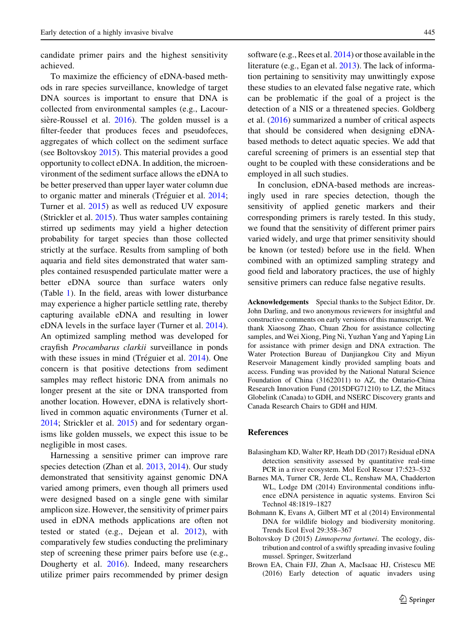<span id="page-8-0"></span>candidate primer pairs and the highest sensitivity achieved.

To maximize the efficiency of eDNA-based methods in rare species surveillance, knowledge of target DNA sources is important to ensure that DNA is collected from environmental samples (e.g., Lacoursière-Roussel et al.  $2016$ ). The golden mussel is a filter-feeder that produces feces and pseudofeces, aggregates of which collect on the sediment surface (see Boltovskoy 2015). This material provides a good opportunity to collect eDNA. In addition, the microenvironment of the sediment surface allows the eDNA to be better preserved than upper layer water column due to organic matter and minerals (Tréguier et al. [2014](#page-9-0); Turner et al. [2015\)](#page-9-0) as well as reduced UV exposure (Strickler et al. [2015](#page-9-0)). Thus water samples containing stirred up sediments may yield a higher detection probability for target species than those collected strictly at the surface. Results from sampling of both aquaria and field sites demonstrated that water samples contained resuspended particulate matter were a better eDNA source than surface waters only (Table [1](#page-6-0)). In the field, areas with lower disturbance may experience a higher particle settling rate, thereby capturing available eDNA and resulting in lower eDNA levels in the surface layer (Turner et al. [2014](#page-9-0)). An optimized sampling method was developed for crayfish Procambarus clarkii surveillance in ponds with these issues in mind (Tréguier et al.  $2014$ ). One concern is that positive detections from sediment samples may reflect historic DNA from animals no longer present at the site or DNA transported from another location. However, eDNA is relatively shortlived in common aquatic environments (Turner et al. [2014;](#page-9-0) Strickler et al. [2015\)](#page-9-0) and for sedentary organisms like golden mussels, we expect this issue to be negligible in most cases.

Harnessing a sensitive primer can improve rare species detection (Zhan et al. [2013](#page-10-0), [2014](#page-10-0)). Our study demonstrated that sensitivity against genomic DNA varied among primers, even though all primers used were designed based on a single gene with similar amplicon size. However, the sensitivity of primer pairs used in eDNA methods applications are often not tested or stated (e.g., Dejean et al. [2012](#page-9-0)), with comparatively few studies conducting the preliminary step of screening these primer pairs before use (e.g., Dougherty et al. [2016\)](#page-9-0). Indeed, many researchers utilize primer pairs recommended by primer design

software (e.g., Rees et al. [2014\)](#page-9-0) or those available in the literature (e.g., Egan et al. [2013](#page-9-0)). The lack of information pertaining to sensitivity may unwittingly expose these studies to an elevated false negative rate, which can be problematic if the goal of a project is the detection of a NIS or a threatened species. Goldberg et al. ([2016\)](#page-9-0) summarized a number of critical aspects that should be considered when designing eDNAbased methods to detect aquatic species. We add that careful screening of primers is an essential step that ought to be coupled with these considerations and be employed in all such studies.

In conclusion, eDNA-based methods are increasingly used in rare species detection, though the sensitivity of applied genetic markers and their corresponding primers is rarely tested. In this study, we found that the sensitivity of different primer pairs varied widely, and urge that primer sensitivity should be known (or tested) before use in the field. When combined with an optimized sampling strategy and good field and laboratory practices, the use of highly sensitive primers can reduce false negative results.

Acknowledgements Special thanks to the Subject Editor, Dr. John Darling, and two anonymous reviewers for insightful and constructive comments on early versions of this manuscript. We thank Xiaosong Zhao, Chuan Zhou for assistance collecting samples, and Wei Xiong, Ping Ni, Yuzhan Yang and Yaping Lin for assistance with primer design and DNA extraction. The Water Protection Bureau of Danjiangkou City and Miyun Reservoir Management kindly provided sampling boats and access. Funding was provided by the National Natural Science Foundation of China (31622011) to AZ, the Ontario-China Research Innovation Fund (2015DFG71210) to LZ, the Mitacs Globelink (Canada) to GDH, and NSERC Discovery grants and Canada Research Chairs to GDH and HJM.

# References

- Balasingham KD, Walter RP, Heath DD (2017) Residual eDNA detection sensitivity assessed by quantitative real-time PCR in a river ecosystem. Mol Ecol Resour 17:523–532
- Barnes MA, Turner CR, Jerde CL, Renshaw MA, Chadderton WL, Lodge DM (2014) Environmental conditions influence eDNA persistence in aquatic systems. Environ Sci Technol 48:1819–1827
- Bohmann K, Evans A, Gilbert MT et al (2014) Environmental DNA for wildlife biology and biodiversity monitoring. Trends Ecol Evol 29:358–367
- Boltovskoy D (2015) Limnoperna fortunei. The ecology, distribution and control of a swiftly spreading invasive fouling mussel. Springer, Switzerland
- Brown EA, Chain FJJ, Zhan A, MacIsaac HJ, Cristescu ME (2016) Early detection of aquatic invaders using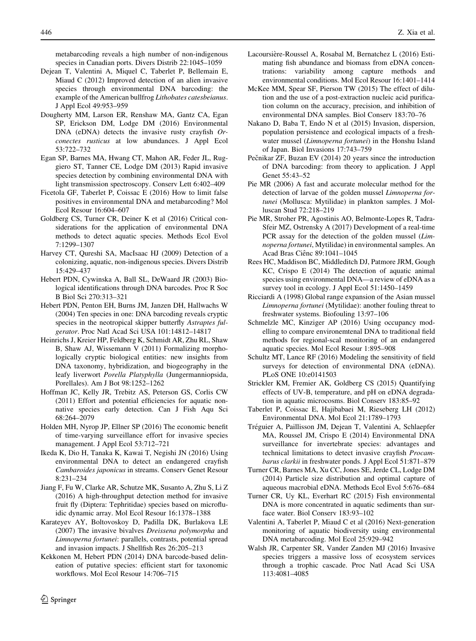<span id="page-9-0"></span>metabarcoding reveals a high number of non-indigenous species in Canadian ports. Divers Distrib 22:1045–1059

- Dejean T, Valentini A, Miquel C, Taberlet P, Bellemain E, Miaud C (2012) Improved detection of an alien invasive species through environmental DNA barcoding: the example of the American bullfrog Lithobates catesbeianus. J Appl Ecol 49:953–959
- Dougherty MM, Larson ER, Renshaw MA, Gantz CA, Egan SP, Erickson DM, Lodge DM (2016) Environmental DNA (eDNA) detects the invasive rusty crayfish Orconectes rusticus at low abundances. J Appl Ecol 53:722–732
- Egan SP, Barnes MA, Hwang CT, Mahon AR, Feder JL, Ruggiero ST, Tanner CE, Lodge DM (2013) Rapid invasive species detection by combining environmental DNA with light transmission spectroscopy. Conserv Lett 6:402–409
- Ficetola GF, Taberlet P, Coissac E (2016) How to limit false positives in environmental DNA and metabarcoding? Mol Ecol Resour 16:604–607
- Goldberg CS, Turner CR, Deiner K et al (2016) Critical considerations for the application of environmental DNA methods to detect aquatic species. Methods Ecol Evol 7:1299–1307
- Harvey CT, Qureshi SA, MacIsaac HJ (2009) Detection of a colonizing, aquatic, non-indigenous species. Divers Distrib 15:429–437
- Hebert PDN, Cywinska A, Ball SL, DeWaard JR (2003) Biological identifications through DNA barcodes. Proc R Soc B Biol Sci 270:313–321
- Hebert PDN, Penton EH, Burns JM, Janzen DH, Hallwachs W (2004) Ten species in one: DNA barcoding reveals cryptic species in the neotropical skipper butterfly Astraptes fulgerator. Proc Natl Acad Sci USA 101:14812–14817
- Heinrichs J, Kreier HP, Feldberg K, Schmidt AR, Zhu RL, Shaw B, Shaw AJ, Wissemann V (2011) Formalizing morphologically cryptic biological entities: new insights from DNA taxonomy, hybridization, and biogeography in the leafy liverwort Porella Platyphylla (Jungermanniopsida, Porellales). Am J Bot 98:1252–1262
- Hoffman JC, Kelly JR, Trebitz AS, Peterson GS, Corlis CW (2011) Effort and potential efficiencies for aquatic nonnative species early detection. Can J Fish Aqu Sci 68:264–2079
- Holden MH, Nyrop JP, Ellner SP (2016) The economic benefit of time-varying surveillance effort for invasive species management. J Appl Ecol 53:712–721
- Ikeda K, Dio H, Tanaka K, Kawai T, Negishi JN (2016) Using environmental DNA to detect an endangered crayfish Cambaroides japonicus in streams. Conserv Genet Resour 8:231–234
- Jiang F, Fu W, Clarke AR, Schutze MK, Susanto A, Zhu S, Li Z (2016) A high-throughput detection method for invasive fruit fly (Diptera: Tephritidae) species based on microfluidic dynamic array. Mol Ecol Resour 16:1378–1388
- Karateyev AY, Boltovoskoy D, Padilla DK, Burlakova LE (2007) The invasive bivalves Dreissena polymorpha and Limnoperna fortunei: parallels, contrasts, potential spread and invasion impacts. J Shellfish Res 26:205–213
- Kekkonen M, Hebert PDN (2014) DNA barcode-based delineation of putative species: efficient start for taxonomic workflows. Mol Ecol Resour 14:706–715
- Lacoursière-Roussel A, Rosabal M, Bernatchez L (2016) Estimating fish abundance and biomass from eDNA concentrations: variability among capture methods and environmental conditions. Mol Ecol Resour 16:1401–1414
- McKee MM, Spear SF, Pierson TW (2015) The effect of dilution and the use of a post-extraction nucleic acid purification column on the accuracy, precision, and inhibition of environmental DNA samples. Biol Conserv 183:70–76
- Nakano D, Baba T, Endo N et al (2015) Invasion, dispersion, population persistence and ecological impacts of a freshwater mussel (*Limnoperna fortunei*) in the Honshu Island of Japan. Biol Invasions 17:743–759
- Pečnikar ZF, Buzan EV (2014) 20 years since the introduction of DNA barcoding: from theory to application. J Appl Genet 55:43–52
- Pie MR (2006) A fast and accurate molecular method for the detection of larvae of the golden mussel Limnoperna fortunei (Mollusca: Mytilidae) in plankton samples. J Molluscan Stud 72:218–219
- Pie MR, Stroher PR, Agostinis AO, Belmonte-Lopes R, Tadra-Sfeir MZ, Ostrensky A (2017) Development of a real-time PCR assay for the detection of the golden mussel (Limnoperna fortunei, Mytilidae) in environmental samples. An Acad Bras Ciênc 89:1041-1045
- Rees HC, Maddison BC, Middleditch DJ, Patmore JRM, Gough KC, Crispo E (2014) The detection of aquatic animal species using environmental DNA—a review of eDNA as a survey tool in ecology. J Appl Ecol 51:1450–1459
- Ricciardi A (1998) Global range expansion of the Asian mussel Limnoperna fortunei (Mytilidae): another fouling threat to freshwater systems. Biofouling 13:97–106
- Schmelzle MC, Kinziger AP (2016) Using occupancy modelling to compare environemtenal DNA to traditional field methods for regional-scal monitoring of an endangered aquatic species. Mol Ecol Resour 1:895–908
- Schultz MT, Lance RF (2016) Modeling the sensitivity of field surveys for detection of environmental DNA (eDNA). PLoS ONE 10:e0141503
- Strickler KM, Fremier AK, Goldberg CS (2015) Quantifying effects of UV-B, temperature, and pH on eDNA degradation in aquatic microcosms. Biol Conserv 183:85–92
- Taberlet P, Coissac E, Hajibabaei M, Rieseberg LH (2012) Environmental DNA. Mol Ecol 21:1789–1793
- Tréguier A, Paillisson JM, Dejean T, Valentini A, Schlaepfer MA, Roussel JM, Crispo E (2014) Environmental DNA surveillance for invertebrate species: advantages and technical limitations to detect invasive crayfish Procambarus clarkii in freshwater ponds. J Appl Ecol 51:871–879
- Turner CR, Barnes MA, Xu CC, Jones SE, Jerde CL, Lodge DM (2014) Particle size distribution and optimal capture of aqueous macrobial eDNA. Methods Ecol Evol 5:676–684
- Turner CR, Uy KL, Everhart RC (2015) Fish environmental DNA is more concentrated in aquatic sediments than surface water. Biol Conserv 183:93–102
- Valentini A, Taberlet P, Miaud C et al (2016) Next-generation monitoring of aquatic biodiversity using environmental DNA metabarcoding. Mol Ecol 25:929–942
- Walsh JR, Carpenter SR, Vander Zanden MJ (2016) Invasive species triggers a massive loss of ecosystem services through a trophic cascade. Proc Natl Acad Sci USA 113:4081–4085